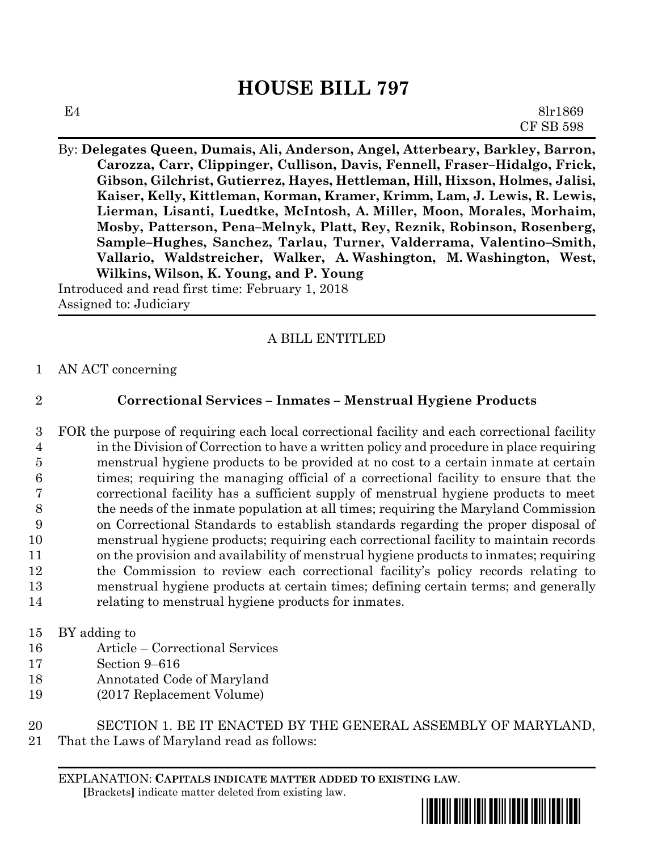## **HOUSE BILL 797**

By: **Delegates Queen, Dumais, Ali, Anderson, Angel, Atterbeary, Barkley, Barron, Carozza, Carr, Clippinger, Cullison, Davis, Fennell, Fraser–Hidalgo, Frick, Gibson, Gilchrist, Gutierrez, Hayes, Hettleman, Hill, Hixson, Holmes, Jalisi, Kaiser, Kelly, Kittleman, Korman, Kramer, Krimm, Lam, J. Lewis, R. Lewis, Lierman, Lisanti, Luedtke, McIntosh, A. Miller, Moon, Morales, Morhaim, Mosby, Patterson, Pena–Melnyk, Platt, Rey, Reznik, Robinson, Rosenberg, Sample–Hughes, Sanchez, Tarlau, Turner, Valderrama, Valentino–Smith, Vallario, Waldstreicher, Walker, A. Washington, M. Washington, West, Wilkins, Wilson, K. Young, and P. Young** Introduced and read first time: February 1, 2018

Assigned to: Judiciary

## A BILL ENTITLED

- 1 AN ACT concerning
- 

## 2 **Correctional Services – Inmates – Menstrual Hygiene Products**

 FOR the purpose of requiring each local correctional facility and each correctional facility in the Division of Correction to have a written policy and procedure in place requiring menstrual hygiene products to be provided at no cost to a certain inmate at certain times; requiring the managing official of a correctional facility to ensure that the correctional facility has a sufficient supply of menstrual hygiene products to meet the needs of the inmate population at all times; requiring the Maryland Commission on Correctional Standards to establish standards regarding the proper disposal of menstrual hygiene products; requiring each correctional facility to maintain records on the provision and availability of menstrual hygiene products to inmates; requiring the Commission to review each correctional facility's policy records relating to menstrual hygiene products at certain times; defining certain terms; and generally relating to menstrual hygiene products for inmates.

- 15 BY adding to
- 16 Article Correctional Services
- 17 Section 9–616
- 18 Annotated Code of Maryland
- 19 (2017 Replacement Volume)

20 SECTION 1. BE IT ENACTED BY THE GENERAL ASSEMBLY OF MARYLAND,

21 That the Laws of Maryland read as follows: